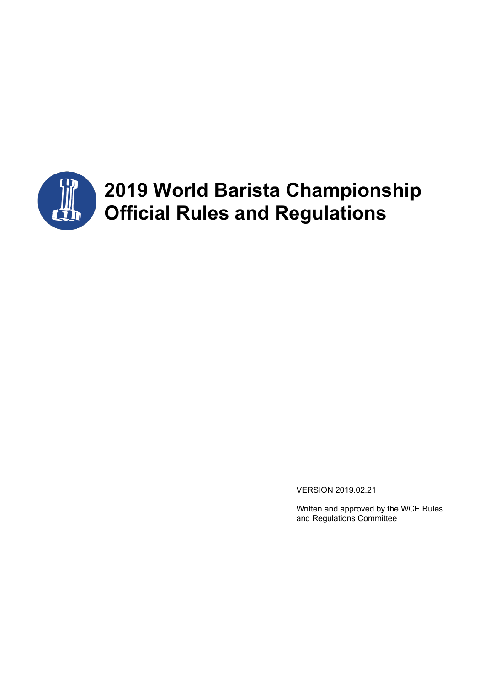

# **2019 World Barista Championship Official Rules and Regulations**

VERSION 2019.02.21

Written and approved by the WCE Rules and Regulations Committee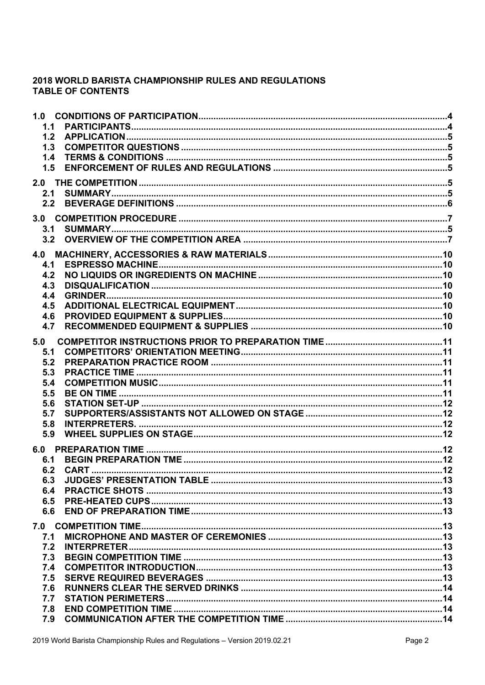# 2018 WORLD BARISTA CHAMPIONSHIP RULES AND REGULATIONS **TABLE OF CONTENTS**

| 1.1<br>1.2<br>1.3<br>1.4<br>1.5                                    |  |
|--------------------------------------------------------------------|--|
| 2.1                                                                |  |
| 3.1                                                                |  |
| 4.1<br>4.2<br>4.3<br>4.4<br>4.5<br>4.6<br>4.7                      |  |
| 5.0<br>5.1<br>5.2<br>5.3<br>5.4<br>5.5<br>5.6<br>5.7<br>5.8<br>5.9 |  |
| 6.1<br>6.3<br>6.4<br>6.5<br>6.6                                    |  |
| 7.1<br>7.2<br>7.3<br>7.4<br>7.5<br>7.6<br>7.7<br>7.8<br>7.9        |  |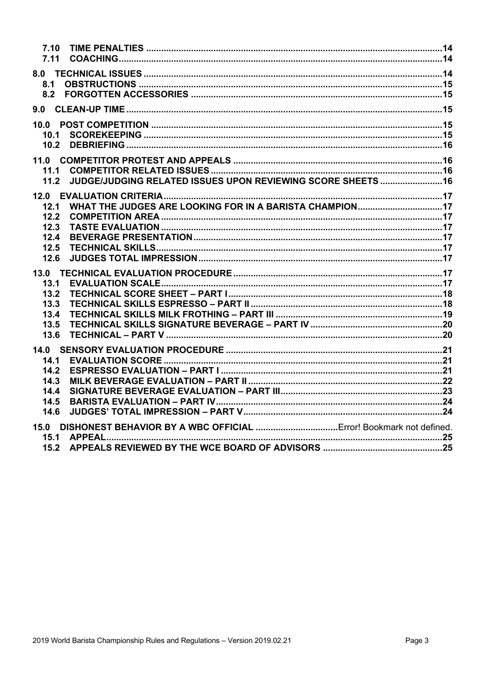| 7.10 |                                                              |  |
|------|--------------------------------------------------------------|--|
| 7.11 |                                                              |  |
|      |                                                              |  |
| 8.1  |                                                              |  |
|      |                                                              |  |
|      |                                                              |  |
|      |                                                              |  |
|      |                                                              |  |
| 10.1 |                                                              |  |
| 10.2 |                                                              |  |
|      |                                                              |  |
| 11.1 |                                                              |  |
| 11.2 | JUDGE/JUDGING RELATED ISSUES UPON REVIEWING SCORE SHEETS  16 |  |
|      |                                                              |  |
| 12.1 |                                                              |  |
| 12.2 |                                                              |  |
| 12.3 |                                                              |  |
| 12.4 |                                                              |  |
| 12.5 |                                                              |  |
| 12.6 |                                                              |  |
|      |                                                              |  |
| 13.1 |                                                              |  |
| 13.2 |                                                              |  |
| 13.3 |                                                              |  |
| 13.4 |                                                              |  |
| 13.5 |                                                              |  |
| 13.6 |                                                              |  |
|      |                                                              |  |
| 14.1 |                                                              |  |
| 14.2 |                                                              |  |
| 14.3 |                                                              |  |
| 14.4 |                                                              |  |
| 14.5 |                                                              |  |
| 14.6 |                                                              |  |
|      |                                                              |  |
| 15.1 |                                                              |  |
| 15.2 |                                                              |  |
|      |                                                              |  |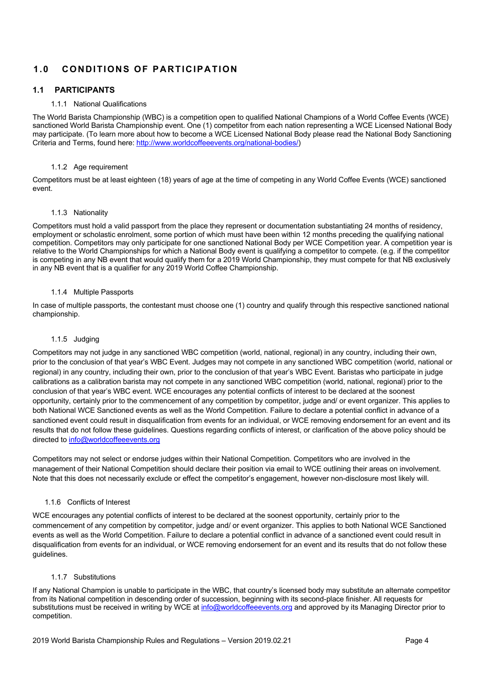# **1.0 CONDITIONS OF PARTICIPATION**

# **1.1 PARTICIPANTS**

### 1.1.1 National Qualifications

The World Barista Championship (WBC) is a competition open to qualified National Champions of a World Coffee Events (WCE) sanctioned World Barista Championship event. One (1) competitor from each nation representing a WCE Licensed National Body may participate. (To learn more about how to become a WCE Licensed National Body please read the National Body Sanctioning Criteria and Terms, found here: http://www.worldcoffeeevents.org/national-bodies/)

### 1.1.2 Age requirement

Competitors must be at least eighteen (18) years of age at the time of competing in any World Coffee Events (WCE) sanctioned event.

### 1.1.3 Nationality

Competitors must hold a valid passport from the place they represent or documentation substantiating 24 months of residency, employment or scholastic enrolment, some portion of which must have been within 12 months preceding the qualifying national competition. Competitors may only participate for one sanctioned National Body per WCE Competition year. A competition year is relative to the World Championships for which a National Body event is qualifying a competitor to compete. (e.g. if the competitor is competing in any NB event that would qualify them for a 2019 World Championship, they must compete for that NB exclusively in any NB event that is a qualifier for any 2019 World Coffee Championship.

### 1.1.4 Multiple Passports

In case of multiple passports, the contestant must choose one (1) country and qualify through this respective sanctioned national championship.

### 1.1.5 Judging

Competitors may not judge in any sanctioned WBC competition (world, national, regional) in any country, including their own, prior to the conclusion of that year's WBC Event. Judges may not compete in any sanctioned WBC competition (world, national or regional) in any country, including their own, prior to the conclusion of that year's WBC Event. Baristas who participate in judge calibrations as a calibration barista may not compete in any sanctioned WBC competition (world, national, regional) prior to the conclusion of that year's WBC event. WCE encourages any potential conflicts of interest to be declared at the soonest opportunity, certainly prior to the commencement of any competition by competitor, judge and/ or event organizer. This applies to both National WCE Sanctioned events as well as the World Competition. Failure to declare a potential conflict in advance of a sanctioned event could result in disqualification from events for an individual, or WCE removing endorsement for an event and its results that do not follow these guidelines. Questions regarding conflicts of interest, or clarification of the above policy should be directed to info@worldcoffeeevents.org

Competitors may not select or endorse judges within their National Competition. Competitors who are involved in the management of their National Competition should declare their position via email to WCE outlining their areas on involvement. Note that this does not necessarily exclude or effect the competitor's engagement, however non-disclosure most likely will.

### 1.1.6 Conflicts of Interest

WCE encourages any potential conflicts of interest to be declared at the soonest opportunity, certainly prior to the commencement of any competition by competitor, judge and/ or event organizer. This applies to both National WCE Sanctioned events as well as the World Competition. Failure to declare a potential conflict in advance of a sanctioned event could result in disqualification from events for an individual, or WCE removing endorsement for an event and its results that do not follow these guidelines.

### 1.1.7 Substitutions

If any National Champion is unable to participate in the WBC, that country's licensed body may substitute an alternate competitor from its National competition in descending order of succession, beginning with its second-place finisher. All requests for substitutions must be received in writing by WCE at info@worldcoffeeevents.org and approved by its Managing Director prior to competition.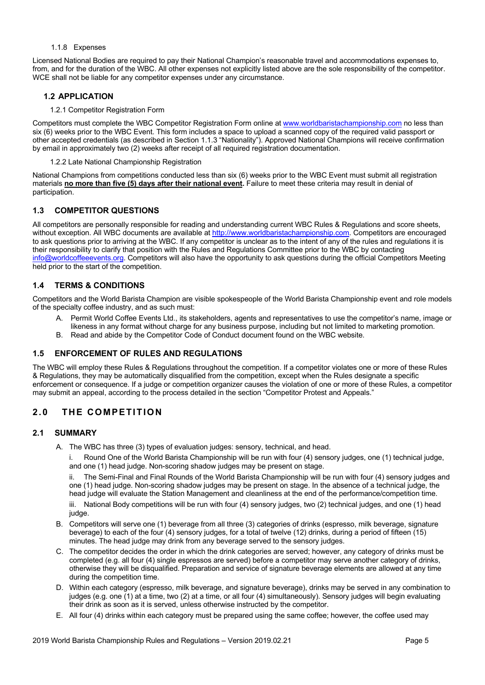### 1.1.8 Expenses

Licensed National Bodies are required to pay their National Champion's reasonable travel and accommodations expenses to, from, and for the duration of the WBC. All other expenses not explicitly listed above are the sole responsibility of the competitor. WCE shall not be liable for any competitor expenses under any circumstance.

### **1.2 APPLICATION**

### 1.2.1 Competitor Registration Form

Competitors must complete the WBC Competitor Registration Form online at www.worldbaristachampionship.com no less than six (6) weeks prior to the WBC Event. This form includes a space to upload a scanned copy of the required valid passport or other accepted credentials (as described in Section 1.1.3 "Nationality"). Approved National Champions will receive confirmation by email in approximately two (2) weeks after receipt of all required registration documentation.

### 1.2.2 Late National Championship Registration

National Champions from competitions conducted less than six (6) weeks prior to the WBC Event must submit all registration materials **no more than five (5) days after their national event.** Failure to meet these criteria may result in denial of participation.

### **1.3 COMPETITOR QUESTIONS**

All competitors are personally responsible for reading and understanding current WBC Rules & Regulations and score sheets, without exception. All WBC documents are available at http://www.worldbaristachampionship.com. Competitors are encouraged to ask questions prior to arriving at the WBC. If any competitor is unclear as to the intent of any of the rules and regulations it is their responsibility to clarify that position with the Rules and Regulations Committee prior to the WBC by contacting info@worldcoffeeevents.org. Competitors will also have the opportunity to ask questions during the official Competitors Meeting held prior to the start of the competition.

### **1.4 TERMS & CONDITIONS**

Competitors and the World Barista Champion are visible spokespeople of the World Barista Championship event and role models of the specialty coffee industry, and as such must:

- A. Permit World Coffee Events Ltd., its stakeholders, agents and representatives to use the competitor's name, image or likeness in any format without charge for any business purpose, including but not limited to marketing promotion.
- B. Read and abide by the Competitor Code of Conduct document found on the WBC website.

### **1.5 ENFORCEMENT OF RULES AND REGULATIONS**

The WBC will employ these Rules & Regulations throughout the competition. If a competitor violates one or more of these Rules & Regulations, they may be automatically disqualified from the competition, except when the Rules designate a specific enforcement or consequence. If a judge or competition organizer causes the violation of one or more of these Rules, a competitor may submit an appeal, according to the process detailed in the section "Competitor Protest and Appeals."

# **2.0 THE COMPETITION**

### **2.1 SUMMARY**

A. The WBC has three (3) types of evaluation judges: sensory, technical, and head.

i. Round One of the World Barista Championship will be run with four (4) sensory judges, one (1) technical judge, and one (1) head judge. Non-scoring shadow judges may be present on stage.

ii. The Semi-Final and Final Rounds of the World Barista Championship will be run with four (4) sensory judges and one (1) head judge. Non-scoring shadow judges may be present on stage. In the absence of a technical judge, the head judge will evaluate the Station Management and cleanliness at the end of the performance/competition time.

iii. National Body competitions will be run with four (4) sensory judges, two (2) technical judges, and one (1) head judge.

- B. Competitors will serve one (1) beverage from all three (3) categories of drinks (espresso, milk beverage, signature beverage) to each of the four (4) sensory judges, for a total of twelve (12) drinks, during a period of fifteen (15) minutes. The head judge may drink from any beverage served to the sensory judges.
- C. The competitor decides the order in which the drink categories are served; however, any category of drinks must be completed (e.g. all four (4) single espressos are served) before a competitor may serve another category of drinks, otherwise they will be disqualified. Preparation and service of signature beverage elements are allowed at any time during the competition time.
- D. Within each category (espresso, milk beverage, and signature beverage), drinks may be served in any combination to judges (e.g. one (1) at a time, two (2) at a time, or all four (4) simultaneously). Sensory judges will begin evaluating their drink as soon as it is served, unless otherwise instructed by the competitor.
- E. All four (4) drinks within each category must be prepared using the same coffee; however, the coffee used may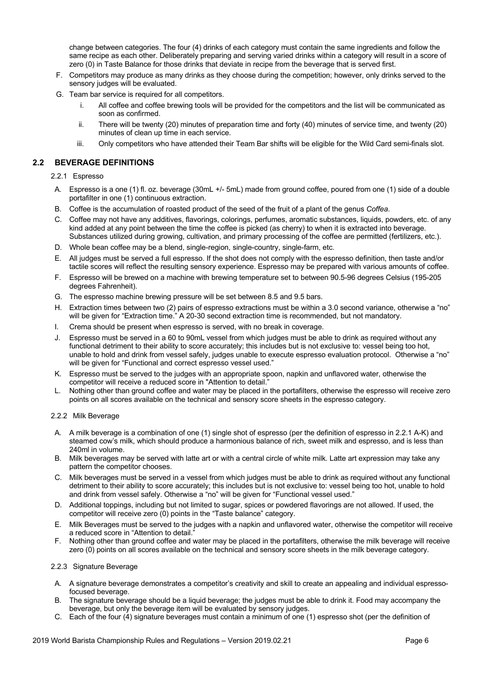change between categories. The four (4) drinks of each category must contain the same ingredients and follow the same recipe as each other. Deliberately preparing and serving varied drinks within a category will result in a score of zero (0) in Taste Balance for those drinks that deviate in recipe from the beverage that is served first.

- F. Competitors may produce as many drinks as they choose during the competition; however, only drinks served to the sensory judges will be evaluated.
- G. Team bar service is required for all competitors.
	- i. All coffee and coffee brewing tools will be provided for the competitors and the list will be communicated as soon as confirmed.
	- ii. There will be twenty (20) minutes of preparation time and forty (40) minutes of service time, and twenty (20) minutes of clean up time in each service.
	- iii. Only competitors who have attended their Team Bar shifts will be eligible for the Wild Card semi-finals slot.

### **2.2 BEVERAGE DEFINITIONS**

2.2.1 Espresso

- A. Espresso is a one (1) fl. oz. beverage (30mL +/- 5mL) made from ground coffee, poured from one (1) side of a double portafilter in one (1) continuous extraction.
- B. Coffee is the accumulation of roasted product of the seed of the fruit of a plant of the genus *Coffea*.
- C. Coffee may not have any additives, flavorings, colorings, perfumes, aromatic substances, liquids, powders, etc. of any kind added at any point between the time the coffee is picked (as cherry) to when it is extracted into beverage. Substances utilized during growing, cultivation, and primary processing of the coffee are permitted (fertilizers, etc.).
- D. Whole bean coffee may be a blend, single-region, single-country, single-farm, etc.
- E. All judges must be served a full espresso. If the shot does not comply with the espresso definition, then taste and/or tactile scores will reflect the resulting sensory experience. Espresso may be prepared with various amounts of coffee.
- F. Espresso will be brewed on a machine with brewing temperature set to between 90.5-96 degrees Celsius (195-205 degrees Fahrenheit).
- G. The espresso machine brewing pressure will be set between 8.5 and 9.5 bars.
- H. Extraction times between two (2) pairs of espresso extractions must be within a 3.0 second variance, otherwise a "no" will be given for "Extraction time." A 20-30 second extraction time is recommended, but not mandatory.
- I. Crema should be present when espresso is served, with no break in coverage.
- J. Espresso must be served in a 60 to 90mL vessel from which judges must be able to drink as required without any functional detriment to their ability to score accurately; this includes but is not exclusive to: vessel being too hot, unable to hold and drink from vessel safely, judges unable to execute espresso evaluation protocol. Otherwise a "no" will be given for "Functional and correct espresso vessel used."
- K. Espresso must be served to the judges with an appropriate spoon, napkin and unflavored water, otherwise the competitor will receive a reduced score in "Attention to detail."
- L. Nothing other than ground coffee and water may be placed in the portafilters, otherwise the espresso will receive zero points on all scores available on the technical and sensory score sheets in the espresso category.

### 2.2.2 Milk Beverage

- A. A milk beverage is a combination of one (1) single shot of espresso (per the definition of espresso in 2.2.1 A-K) and steamed cow's milk, which should produce a harmonious balance of rich, sweet milk and espresso, and is less than 240ml in volume.
- B. Milk beverages may be served with latte art or with a central circle of white milk. Latte art expression may take any pattern the competitor chooses.
- C. Milk beverages must be served in a vessel from which judges must be able to drink as required without any functional detriment to their ability to score accurately; this includes but is not exclusive to: vessel being too hot, unable to hold and drink from vessel safely. Otherwise a "no" will be given for "Functional vessel used."
- D. Additional toppings, including but not limited to sugar, spices or powdered flavorings are not allowed. If used, the competitor will receive zero (0) points in the "Taste balance" category.
- E. Milk Beverages must be served to the judges with a napkin and unflavored water, otherwise the competitor will receive a reduced score in "Attention to detail."
- F. Nothing other than ground coffee and water may be placed in the portafilters, otherwise the milk beverage will receive zero (0) points on all scores available on the technical and sensory score sheets in the milk beverage category.

### 2.2.3 Signature Beverage

- A. A signature beverage demonstrates a competitor's creativity and skill to create an appealing and individual espressofocused beverage.
- B. The signature beverage should be a liquid beverage; the judges must be able to drink it. Food may accompany the beverage, but only the beverage item will be evaluated by sensory judges.
- C. Each of the four (4) signature beverages must contain a minimum of one (1) espresso shot (per the definition of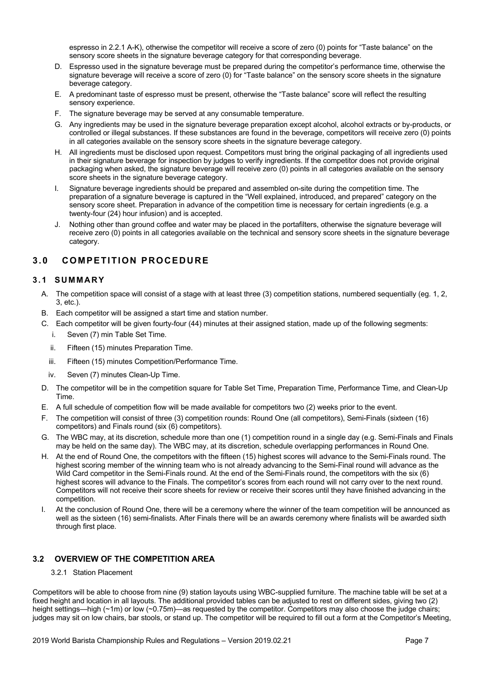espresso in 2.2.1 A-K), otherwise the competitor will receive a score of zero (0) points for "Taste balance" on the sensory score sheets in the signature beverage category for that corresponding beverage.

- D. Espresso used in the signature beverage must be prepared during the competitor's performance time, otherwise the signature beverage will receive a score of zero (0) for "Taste balance" on the sensory score sheets in the signature beverage category.
- E. A predominant taste of espresso must be present, otherwise the "Taste balance" score will reflect the resulting sensory experience.
- F. The signature beverage may be served at any consumable temperature.
- G. Any ingredients may be used in the signature beverage preparation except alcohol, alcohol extracts or by-products, or controlled or illegal substances. If these substances are found in the beverage, competitors will receive zero (0) points in all categories available on the sensory score sheets in the signature beverage category.
- H. All ingredients must be disclosed upon request. Competitors must bring the original packaging of all ingredients used in their signature beverage for inspection by judges to verify ingredients. If the competitor does not provide original packaging when asked, the signature beverage will receive zero (0) points in all categories available on the sensory score sheets in the signature beverage category.
- I. Signature beverage ingredients should be prepared and assembled on-site during the competition time. The preparation of a signature beverage is captured in the "Well explained, introduced, and prepared" category on the sensory score sheet. Preparation in advance of the competition time is necessary for certain ingredients (e.g. a twenty-four (24) hour infusion) and is accepted.
- J. Nothing other than ground coffee and water may be placed in the portafilters, otherwise the signature beverage will receive zero (0) points in all categories available on the technical and sensory score sheets in the signature beverage category.

# **3.0 COMPETITION PROCEDURE**

# **3.1 SUMMARY**

- A. The competition space will consist of a stage with at least three (3) competition stations, numbered sequentially (eg. 1, 2, 3, etc.).
- B. Each competitor will be assigned a start time and station number.
- C. Each competitor will be given fourty-four (44) minutes at their assigned station, made up of the following segments:
	- i. Seven (7) min Table Set Time.
	- ii. Fifteen (15) minutes Preparation Time.
	- iii. Fifteen (15) minutes Competition/Performance Time.
	- iv. Seven (7) minutes Clean-Up Time.
- D. The competitor will be in the competition square for Table Set Time, Preparation Time, Performance Time, and Clean-Up Time.
- E. A full schedule of competition flow will be made available for competitors two (2) weeks prior to the event.
- F. The competition will consist of three (3) competition rounds: Round One (all competitors), Semi-Finals (sixteen (16) competitors) and Finals round (six (6) competitors).
- G. The WBC may, at its discretion, schedule more than one (1) competition round in a single day (e.g. Semi-Finals and Finals may be held on the same day). The WBC may, at its discretion, schedule overlapping performances in Round One.
- H. At the end of Round One, the competitors with the fifteen (15) highest scores will advance to the Semi-Finals round. The highest scoring member of the winning team who is not already advancing to the Semi-Final round will advance as the Wild Card competitor in the Semi-Finals round. At the end of the Semi-Finals round, the competitors with the six (6) highest scores will advance to the Finals. The competitor's scores from each round will not carry over to the next round. Competitors will not receive their score sheets for review or receive their scores until they have finished advancing in the competition.
- I. At the conclusion of Round One, there will be a ceremony where the winner of the team competition will be announced as well as the sixteen (16) semi-finalists. After Finals there will be an awards ceremony where finalists will be awarded sixth through first place.

# **3.2 OVERVIEW OF THE COMPETITION AREA**

### 3.2.1 Station Placement

Competitors will be able to choose from nine (9) station layouts using WBC-supplied furniture. The machine table will be set at a fixed height and location in all layouts. The additional provided tables can be adjusted to rest on different sides, giving two (2) height settings—high (~1m) or low (~0.75m)—as requested by the competitor. Competitors may also choose the judge chairs; judges may sit on low chairs, bar stools, or stand up. The competitor will be required to fill out a form at the Competitor's Meeting,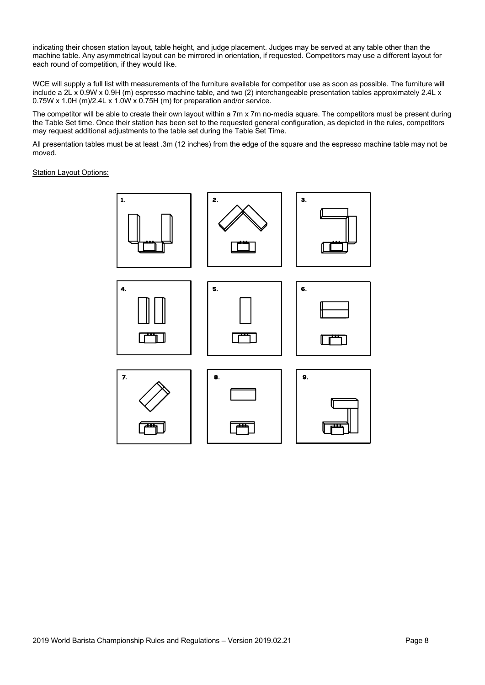indicating their chosen station layout, table height, and judge placement. Judges may be served at any table other than the machine table. Any asymmetrical layout can be mirrored in orientation, if requested. Competitors may use a different layout for each round of competition, if they would like.

WCE will supply a full list with measurements of the furniture available for competitor use as soon as possible. The furniture will include a 2L x 0.9W x 0.9H (m) espresso machine table, and two (2) interchangeable presentation tables approximately 2.4L x 0.75W x 1.0H (m)/2.4L x 1.0W x 0.75H (m) for preparation and/or service.

The competitor will be able to create their own layout within a 7m x 7m no-media square. The competitors must be present during the Table Set time. Once their station has been set to the requested general configuration, as depicted in the rules, competitors may request additional adjustments to the table set during the Table Set Time.

All presentation tables must be at least .3m (12 inches) from the edge of the square and the espresso machine table may not be moved.

**Station Layout Options:** 

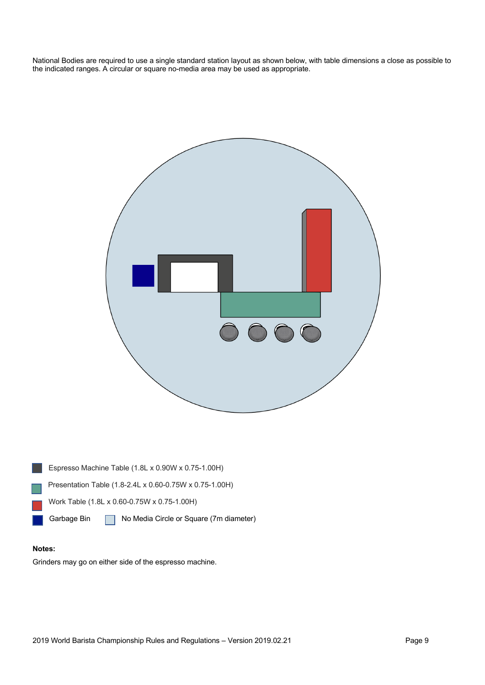National Bodies are required to use a single standard station layout as shown below, with table dimensions a close as possible to the indicated ranges. A circular or square no-media area may be used as appropriate.





### **Notes:**

Grinders may go on either side of the espresso machine.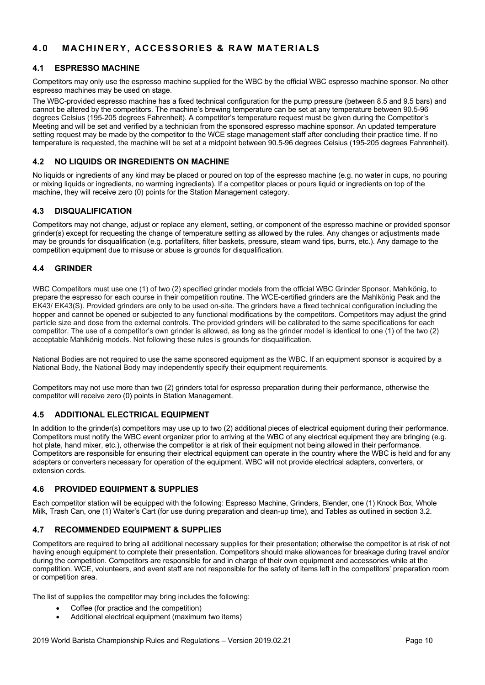# **4.0 MACHINERY, ACCESSORIES & RAW MATERIALS**

### **4.1 ESPRESSO MACHINE**

Competitors may only use the espresso machine supplied for the WBC by the official WBC espresso machine sponsor. No other espresso machines may be used on stage.

The WBC-provided espresso machine has a fixed technical configuration for the pump pressure (between 8.5 and 9.5 bars) and cannot be altered by the competitors. The machine's brewing temperature can be set at any temperature between 90.5-96 degrees Celsius (195-205 degrees Fahrenheit). A competitor's temperature request must be given during the Competitor's Meeting and will be set and verified by a technician from the sponsored espresso machine sponsor. An updated temperature setting request may be made by the competitor to the WCE stage management staff after concluding their practice time. If no temperature is requested, the machine will be set at a midpoint between 90.5-96 degrees Celsius (195-205 degrees Fahrenheit).

# **4.2 NO LIQUIDS OR INGREDIENTS ON MACHINE**

No liquids or ingredients of any kind may be placed or poured on top of the espresso machine (e.g. no water in cups, no pouring or mixing liquids or ingredients, no warming ingredients). If a competitor places or pours liquid or ingredients on top of the machine, they will receive zero (0) points for the Station Management category.

# **4.3 DISQUALIFICATION**

Competitors may not change, adjust or replace any element, setting, or component of the espresso machine or provided sponsor grinder(s) except for requesting the change of temperature setting as allowed by the rules. Any changes or adjustments made may be grounds for disqualification (e.g. portafilters, filter baskets, pressure, steam wand tips, burrs, etc.). Any damage to the competition equipment due to misuse or abuse is grounds for disqualification.

# **4.4 GRINDER**

WBC Competitors must use one (1) of two (2) specified grinder models from the official WBC Grinder Sponsor, Mahlkönig, to prepare the espresso for each course in their competition routine. The WCE-certified grinders are the Mahlkönig Peak and the EK43/ EK43(S). Provided grinders are only to be used on-site. The grinders have a fixed technical configuration including the hopper and cannot be opened or subjected to any functional modifications by the competitors. Competitors may adjust the grind particle size and dose from the external controls. The provided grinders will be calibrated to the same specifications for each competitor. The use of a competitor's own grinder is allowed, as long as the grinder model is identical to one (1) of the two (2) acceptable Mahlkönig models. Not following these rules is grounds for disqualification.

National Bodies are not required to use the same sponsored equipment as the WBC. If an equipment sponsor is acquired by a National Body, the National Body may independently specify their equipment requirements.

Competitors may not use more than two (2) grinders total for espresso preparation during their performance, otherwise the competitor will receive zero (0) points in Station Management.

# **4.5 ADDITIONAL ELECTRICAL EQUIPMENT**

In addition to the grinder(s) competitors may use up to two (2) additional pieces of electrical equipment during their performance. Competitors must notify the WBC event organizer prior to arriving at the WBC of any electrical equipment they are bringing (e.g. hot plate, hand mixer, etc.), otherwise the competitor is at risk of their equipment not being allowed in their performance. Competitors are responsible for ensuring their electrical equipment can operate in the country where the WBC is held and for any adapters or converters necessary for operation of the equipment. WBC will not provide electrical adapters, converters, or extension cords.

# **4.6 PROVIDED EQUIPMENT & SUPPLIES**

Each competitor station will be equipped with the following: Espresso Machine, Grinders, Blender, one (1) Knock Box, Whole Milk, Trash Can, one (1) Waiter's Cart (for use during preparation and clean-up time), and Tables as outlined in section 3.2.

# **4.7 RECOMMENDED EQUIPMENT & SUPPLIES**

Competitors are required to bring all additional necessary supplies for their presentation; otherwise the competitor is at risk of not having enough equipment to complete their presentation. Competitors should make allowances for breakage during travel and/or during the competition. Competitors are responsible for and in charge of their own equipment and accessories while at the competition. WCE, volunteers, and event staff are not responsible for the safety of items left in the competitors' preparation room or competition area.

The list of supplies the competitor may bring includes the following:

- Coffee (for practice and the competition)
- Additional electrical equipment (maximum two items)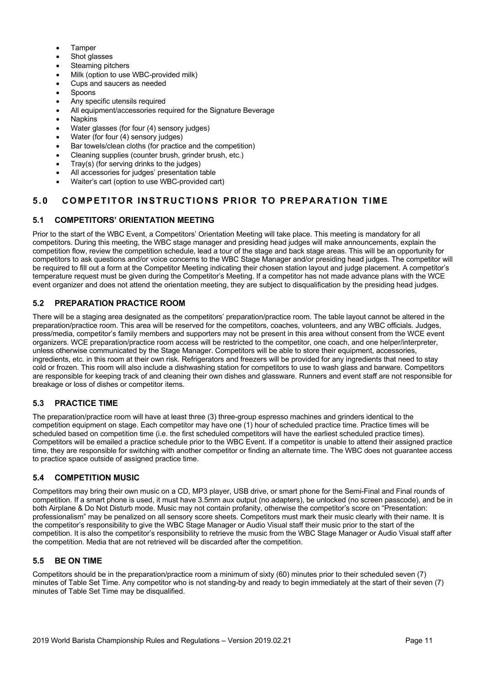- **Tamper**
- Shot glasses
- Steaming pitchers
- Milk (option to use WBC-provided milk)
- Cups and saucers as needed
- **Spoons**
- Any specific utensils required
- All equipment/accessories required for the Signature Beverage
- **Napkins**
- Water glasses (for four (4) sensory judges)
- Water (for four (4) sensory judges)
- Bar towels/clean cloths (for practice and the competition)
- Cleaning supplies (counter brush, grinder brush, etc.)
- Tray(s) (for serving drinks to the judges)
- All accessories for judges' presentation table
- Waiter's cart (option to use WBC-provided cart)

# **5.0 COMPETITOR INSTRUCTIONS PRIOR TO PREPARATION TIME**

# **5.1 COMPETITORS' ORIENTATION MEETING**

Prior to the start of the WBC Event, a Competitors' Orientation Meeting will take place. This meeting is mandatory for all competitors. During this meeting, the WBC stage manager and presiding head judges will make announcements, explain the competition flow, review the competition schedule, lead a tour of the stage and back stage areas. This will be an opportunity for competitors to ask questions and/or voice concerns to the WBC Stage Manager and/or presiding head judges. The competitor will be required to fill out a form at the Competitor Meeting indicating their chosen station layout and judge placement. A competitor's temperature request must be given during the Competitor's Meeting. If a competitor has not made advance plans with the WCE event organizer and does not attend the orientation meeting, they are subject to disqualification by the presiding head judges.

# **5.2 PREPARATION PRACTICE ROOM**

There will be a staging area designated as the competitors' preparation/practice room. The table layout cannot be altered in the preparation/practice room. This area will be reserved for the competitors, coaches, volunteers, and any WBC officials. Judges, press/media, competitor's family members and supporters may not be present in this area without consent from the WCE event organizers. WCE preparation/practice room access will be restricted to the competitor, one coach, and one helper/interpreter, unless otherwise communicated by the Stage Manager. Competitors will be able to store their equipment, accessories, ingredients, etc. in this room at their own risk. Refrigerators and freezers will be provided for any ingredients that need to stay cold or frozen. This room will also include a dishwashing station for competitors to use to wash glass and barware. Competitors are responsible for keeping track of and cleaning their own dishes and glassware. Runners and event staff are not responsible for breakage or loss of dishes or competitor items.

# **5.3 PRACTICE TIME**

The preparation/practice room will have at least three (3) three-group espresso machines and grinders identical to the competition equipment on stage. Each competitor may have one (1) hour of scheduled practice time. Practice times will be scheduled based on competition time (i.e. the first scheduled competitors will have the earliest scheduled practice times). Competitors will be emailed a practice schedule prior to the WBC Event. If a competitor is unable to attend their assigned practice time, they are responsible for switching with another competitor or finding an alternate time. The WBC does not guarantee access to practice space outside of assigned practice time.

# **5.4 COMPETITION MUSIC**

Competitors may bring their own music on a CD, MP3 player, USB drive, or smart phone for the Semi-Final and Final rounds of competition. If a smart phone is used, it must have 3.5mm aux output (no adapters), be unlocked (no screen passcode), and be in both Airplane & Do Not Disturb mode. Music may not contain profanity, otherwise the competitor's score on "Presentation: professionalism" may be penalized on all sensory score sheets. Competitors must mark their music clearly with their name. It is the competitor's responsibility to give the WBC Stage Manager or Audio Visual staff their music prior to the start of the competition. It is also the competitor's responsibility to retrieve the music from the WBC Stage Manager or Audio Visual staff after the competition. Media that are not retrieved will be discarded after the competition.

# **5.5 BE ON TIME**

Competitors should be in the preparation/practice room a minimum of sixty (60) minutes prior to their scheduled seven (7) minutes of Table Set Time. Any competitor who is not standing-by and ready to begin immediately at the start of their seven (7) minutes of Table Set Time may be disqualified.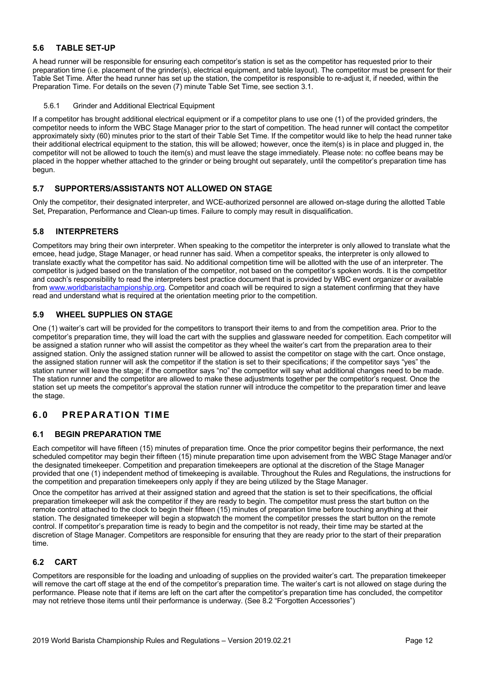### **5.6 TABLE SET-UP**

A head runner will be responsible for ensuring each competitor's station is set as the competitor has requested prior to their preparation time (i.e. placement of the grinder(s), electrical equipment, and table layout). The competitor must be present for their Table Set Time. After the head runner has set up the station, the competitor is responsible to re-adjust it, if needed, within the Preparation Time. For details on the seven (7) minute Table Set Time, see section 3.1.

### 5.6.1 Grinder and Additional Electrical Equipment

If a competitor has brought additional electrical equipment or if a competitor plans to use one (1) of the provided grinders, the competitor needs to inform the WBC Stage Manager prior to the start of competition. The head runner will contact the competitor approximately sixty (60) minutes prior to the start of their Table Set Time. If the competitor would like to help the head runner take their additional electrical equipment to the station, this will be allowed; however, once the item(s) is in place and plugged in, the competitor will not be allowed to touch the item(s) and must leave the stage immediately. Please note: no coffee beans may be placed in the hopper whether attached to the grinder or being brought out separately, until the competitor's preparation time has begun.

### **5.7 SUPPORTERS/ASSISTANTS NOT ALLOWED ON STAGE**

Only the competitor, their designated interpreter, and WCE-authorized personnel are allowed on-stage during the allotted Table Set, Preparation, Performance and Clean-up times. Failure to comply may result in disqualification.

### **5.8 INTERPRETERS**

Competitors may bring their own interpreter. When speaking to the competitor the interpreter is only allowed to translate what the emcee, head judge, Stage Manager, or head runner has said. When a competitor speaks, the interpreter is only allowed to translate exactly what the competitor has said. No additional competition time will be allotted with the use of an interpreter. The competitor is judged based on the translation of the competitor, not based on the competitor's spoken words. It is the competitor and coach's responsibility to read the interpreters best practice document that is provided by WBC event organizer or available from www.worldbaristachampionship.org. Competitor and coach will be required to sign a statement confirming that they have read and understand what is required at the orientation meeting prior to the competition.

# **5.9 WHEEL SUPPLIES ON STAGE**

One (1) waiter's cart will be provided for the competitors to transport their items to and from the competition area. Prior to the competitor's preparation time, they will load the cart with the supplies and glassware needed for competition. Each competitor will be assigned a station runner who will assist the competitor as they wheel the waiter's cart from the preparation area to their assigned station. Only the assigned station runner will be allowed to assist the competitor on stage with the cart. Once onstage, the assigned station runner will ask the competitor if the station is set to their specifications; if the competitor says "yes" the station runner will leave the stage; if the competitor says "no" the competitor will say what additional changes need to be made. The station runner and the competitor are allowed to make these adjustments together per the competitor's request. Once the station set up meets the competitor's approval the station runner will introduce the competitor to the preparation timer and leave the stage.

# **6.0 PREPARATION TIME**

# **6.1 BEGIN PREPARATION TME**

Each competitor will have fifteen (15) minutes of preparation time. Once the prior competitor begins their performance, the next scheduled competitor may begin their fifteen (15) minute preparation time upon advisement from the WBC Stage Manager and/or the designated timekeeper. Competition and preparation timekeepers are optional at the discretion of the Stage Manager provided that one (1) independent method of timekeeping is available. Throughout the Rules and Regulations, the instructions for the competition and preparation timekeepers only apply if they are being utilized by the Stage Manager.

Once the competitor has arrived at their assigned station and agreed that the station is set to their specifications, the official preparation timekeeper will ask the competitor if they are ready to begin. The competitor must press the start button on the remote control attached to the clock to begin their fifteen (15) minutes of preparation time before touching anything at their station. The designated timekeeper will begin a stopwatch the moment the competitor presses the start button on the remote control. If competitor's preparation time is ready to begin and the competitor is not ready, their time may be started at the discretion of Stage Manager. Competitors are responsible for ensuring that they are ready prior to the start of their preparation time.

### **6.2 CART**

Competitors are responsible for the loading and unloading of supplies on the provided waiter's cart. The preparation timekeeper will remove the cart off stage at the end of the competitor's preparation time. The waiter's cart is not allowed on stage during the performance. Please note that if items are left on the cart after the competitor's preparation time has concluded, the competitor may not retrieve those items until their performance is underway. (See 8.2 "Forgotten Accessories")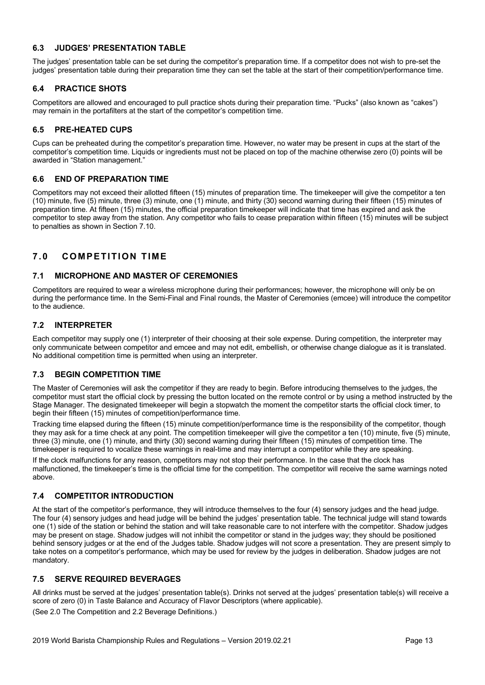### **6.3 JUDGES' PRESENTATION TABLE**

The judges' presentation table can be set during the competitor's preparation time. If a competitor does not wish to pre-set the judges' presentation table during their preparation time they can set the table at the start of their competition/performance time.

# **6.4 PRACTICE SHOTS**

Competitors are allowed and encouraged to pull practice shots during their preparation time. "Pucks" (also known as "cakes") may remain in the portafilters at the start of the competitor's competition time.

# **6.5 PRE-HEATED CUPS**

Cups can be preheated during the competitor's preparation time. However, no water may be present in cups at the start of the competitor's competition time. Liquids or ingredients must not be placed on top of the machine otherwise zero (0) points will be awarded in "Station management."

### **6.6 END OF PREPARATION TIME**

Competitors may not exceed their allotted fifteen (15) minutes of preparation time. The timekeeper will give the competitor a ten (10) minute, five (5) minute, three (3) minute, one (1) minute, and thirty (30) second warning during their fifteen (15) minutes of preparation time. At fifteen (15) minutes, the official preparation timekeeper will indicate that time has expired and ask the competitor to step away from the station. Any competitor who fails to cease preparation within fifteen (15) minutes will be subject to penalties as shown in Section 7.10.

# **7.0 COMPETITION TIME**

### **7.1 MICROPHONE AND MASTER OF CEREMONIES**

Competitors are required to wear a wireless microphone during their performances; however, the microphone will only be on during the performance time. In the Semi-Final and Final rounds, the Master of Ceremonies (emcee) will introduce the competitor to the audience.

### **7.2 INTERPRETER**

Each competitor may supply one (1) interpreter of their choosing at their sole expense. During competition, the interpreter may only communicate between competitor and emcee and may not edit, embellish, or otherwise change dialogue as it is translated. No additional competition time is permitted when using an interpreter.

### **7.3 BEGIN COMPETITION TIME**

The Master of Ceremonies will ask the competitor if they are ready to begin. Before introducing themselves to the judges, the competitor must start the official clock by pressing the button located on the remote control or by using a method instructed by the Stage Manager. The designated timekeeper will begin a stopwatch the moment the competitor starts the official clock timer, to begin their fifteen (15) minutes of competition/performance time.

Tracking time elapsed during the fifteen (15) minute competition/performance time is the responsibility of the competitor, though they may ask for a time check at any point. The competition timekeeper will give the competitor a ten (10) minute, five (5) minute, three (3) minute, one (1) minute, and thirty (30) second warning during their fifteen (15) minutes of competition time. The timekeeper is required to vocalize these warnings in real-time and may interrupt a competitor while they are speaking.

If the clock malfunctions for any reason, competitors may not stop their performance. In the case that the clock has malfunctioned, the timekeeper's time is the official time for the competition. The competitor will receive the same warnings noted above.

### **7.4 COMPETITOR INTRODUCTION**

At the start of the competitor's performance, they will introduce themselves to the four (4) sensory judges and the head judge. The four (4) sensory judges and head judge will be behind the judges' presentation table. The technical judge will stand towards one (1) side of the station or behind the station and will take reasonable care to not interfere with the competitor. Shadow judges may be present on stage. Shadow judges will not inhibit the competitor or stand in the judges way; they should be positioned behind sensory judges or at the end of the Judges table. Shadow judges will not score a presentation. They are present simply to take notes on a competitor's performance, which may be used for review by the judges in deliberation. Shadow judges are not mandatory.

### **7.5 SERVE REQUIRED BEVERAGES**

All drinks must be served at the judges' presentation table(s). Drinks not served at the judges' presentation table(s) will receive a score of zero (0) in Taste Balance and Accuracy of Flavor Descriptors (where applicable). (See 2.0 The Competition and 2.2 Beverage Definitions.)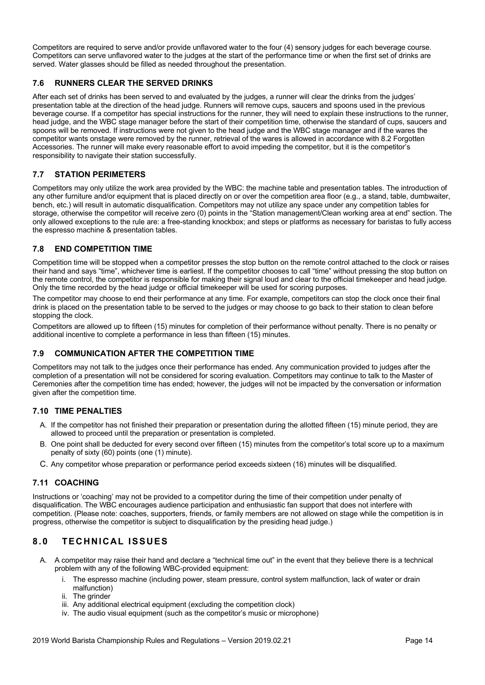Competitors are required to serve and/or provide unflavored water to the four (4) sensory judges for each beverage course. Competitors can serve unflavored water to the judges at the start of the performance time or when the first set of drinks are served. Water glasses should be filled as needed throughout the presentation.

# **7.6 RUNNERS CLEAR THE SERVED DRINKS**

After each set of drinks has been served to and evaluated by the judges, a runner will clear the drinks from the judges' presentation table at the direction of the head judge. Runners will remove cups, saucers and spoons used in the previous beverage course. If a competitor has special instructions for the runner, they will need to explain these instructions to the runner, head judge, and the WBC stage manager before the start of their competition time, otherwise the standard of cups, saucers and spoons will be removed. If instructions were not given to the head judge and the WBC stage manager and if the wares the competitor wants onstage were removed by the runner, retrieval of the wares is allowed in accordance with 8.2 Forgotten Accessories. The runner will make every reasonable effort to avoid impeding the competitor, but it is the competitor's responsibility to navigate their station successfully.

# **7.7 STATION PERIMETERS**

Competitors may only utilize the work area provided by the WBC: the machine table and presentation tables. The introduction of any other furniture and/or equipment that is placed directly on or over the competition area floor (e.g., a stand, table, dumbwaiter, bench, etc.) will result in automatic disqualification. Competitors may not utilize any space under any competition tables for storage, otherwise the competitor will receive zero (0) points in the "Station management/Clean working area at end" section. The only allowed exceptions to the rule are: a free-standing knockbox; and steps or platforms as necessary for baristas to fully access the espresso machine & presentation tables.

# **7.8 END COMPETITION TIME**

Competition time will be stopped when a competitor presses the stop button on the remote control attached to the clock or raises their hand and says "time", whichever time is earliest. If the competitor chooses to call "time" without pressing the stop button on the remote control, the competitor is responsible for making their signal loud and clear to the official timekeeper and head judge. Only the time recorded by the head judge or official timekeeper will be used for scoring purposes.

The competitor may choose to end their performance at any time. For example, competitors can stop the clock once their final drink is placed on the presentation table to be served to the judges or may choose to go back to their station to clean before stopping the clock.

Competitors are allowed up to fifteen (15) minutes for completion of their performance without penalty. There is no penalty or additional incentive to complete a performance in less than fifteen (15) minutes.

# **7.9 COMMUNICATION AFTER THE COMPETITION TIME**

Competitors may not talk to the judges once their performance has ended. Any communication provided to judges after the completion of a presentation will not be considered for scoring evaluation. Competitors may continue to talk to the Master of Ceremonies after the competition time has ended; however, the judges will not be impacted by the conversation or information given after the competition time.

### **7.10 TIME PENALTIES**

- A. If the competitor has not finished their preparation or presentation during the allotted fifteen (15) minute period, they are allowed to proceed until the preparation or presentation is completed.
- B. One point shall be deducted for every second over fifteen (15) minutes from the competitor's total score up to a maximum penalty of sixty (60) points (one (1) minute).
- C. Any competitor whose preparation or performance period exceeds sixteen (16) minutes will be disqualified.

# **7.11 COACHING**

Instructions or 'coaching' may not be provided to a competitor during the time of their competition under penalty of disqualification. The WBC encourages audience participation and enthusiastic fan support that does not interfere with competition. (Please note: coaches, supporters, friends, or family members are not allowed on stage while the competition is in progress, otherwise the competitor is subject to disqualification by the presiding head judge.)

# **8.0 TECHNICAL ISSUES**

- A. A competitor may raise their hand and declare a "technical time out" in the event that they believe there is a technical problem with any of the following WBC-provided equipment:
	- i. The espresso machine (including power, steam pressure, control system malfunction, lack of water or drain malfunction)
	- ii. The grinder
	- iii. Any additional electrical equipment (excluding the competition clock)
	- iv. The audio visual equipment (such as the competitor's music or microphone)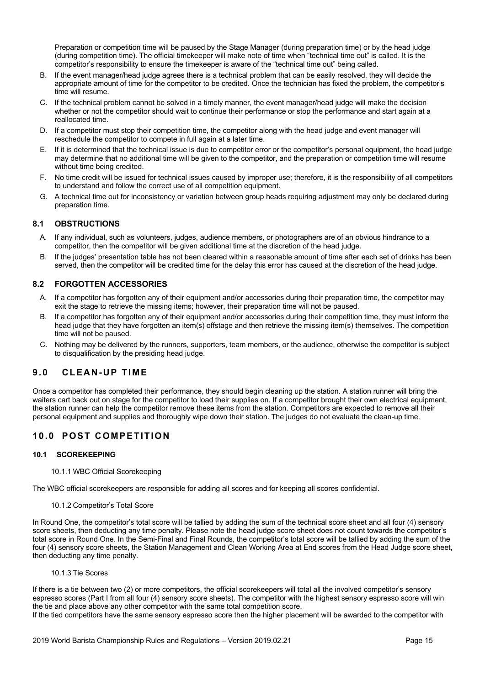Preparation or competition time will be paused by the Stage Manager (during preparation time) or by the head judge (during competition time). The official timekeeper will make note of time when "technical time out" is called. It is the competitor's responsibility to ensure the timekeeper is aware of the "technical time out" being called.

- B. If the event manager/head judge agrees there is a technical problem that can be easily resolved, they will decide the appropriate amount of time for the competitor to be credited. Once the technician has fixed the problem, the competitor's time will resume.
- C. If the technical problem cannot be solved in a timely manner, the event manager/head judge will make the decision whether or not the competitor should wait to continue their performance or stop the performance and start again at a reallocated time.
- D. If a competitor must stop their competition time, the competitor along with the head judge and event manager will reschedule the competitor to compete in full again at a later time.
- E. If it is determined that the technical issue is due to competitor error or the competitor's personal equipment, the head judge may determine that no additional time will be given to the competitor, and the preparation or competition time will resume without time being credited.
- F. No time credit will be issued for technical issues caused by improper use; therefore, it is the responsibility of all competitors to understand and follow the correct use of all competition equipment.
- G. A technical time out for inconsistency or variation between group heads requiring adjustment may only be declared during preparation time.

# **8.1 OBSTRUCTIONS**

- A. If any individual, such as volunteers, judges, audience members, or photographers are of an obvious hindrance to a competitor, then the competitor will be given additional time at the discretion of the head judge.
- B. If the judges' presentation table has not been cleared within a reasonable amount of time after each set of drinks has been served, then the competitor will be credited time for the delay this error has caused at the discretion of the head judge.

### **8.2 FORGOTTEN ACCESSORIES**

- A. If a competitor has forgotten any of their equipment and/or accessories during their preparation time, the competitor may exit the stage to retrieve the missing items; however, their preparation time will not be paused.
- B. If a competitor has forgotten any of their equipment and/or accessories during their competition time, they must inform the head judge that they have forgotten an item(s) offstage and then retrieve the missing item(s) themselves. The competition time will not be paused.
- C. Nothing may be delivered by the runners, supporters, team members, or the audience, otherwise the competitor is subject to disqualification by the presiding head judge.

# **9.0 CLEAN-UP TIME**

Once a competitor has completed their performance, they should begin cleaning up the station. A station runner will bring the waiters cart back out on stage for the competitor to load their supplies on. If a competitor brought their own electrical equipment, the station runner can help the competitor remove these items from the station. Competitors are expected to remove all their personal equipment and supplies and thoroughly wipe down their station. The judges do not evaluate the clean-up time.

# **10.0 POST COMPETITION**

### **10.1 SCOREKEEPING**

### 10.1.1 WBC Official Scorekeeping

The WBC official scorekeepers are responsible for adding all scores and for keeping all scores confidential.

### 10.1.2 Competitor's Total Score

In Round One, the competitor's total score will be tallied by adding the sum of the technical score sheet and all four (4) sensory score sheets, then deducting any time penalty. Please note the head judge score sheet does not count towards the competitor's total score in Round One. In the Semi-Final and Final Rounds, the competitor's total score will be tallied by adding the sum of the four (4) sensory score sheets, the Station Management and Clean Working Area at End scores from the Head Judge score sheet, then deducting any time penalty.

### 10.1.3 Tie Scores

If there is a tie between two (2) or more competitors, the official scorekeepers will total all the involved competitor's sensory espresso scores (Part I from all four (4) sensory score sheets). The competitor with the highest sensory espresso score will win the tie and place above any other competitor with the same total competition score. If the tied competitors have the same sensory espresso score then the higher placement will be awarded to the competitor with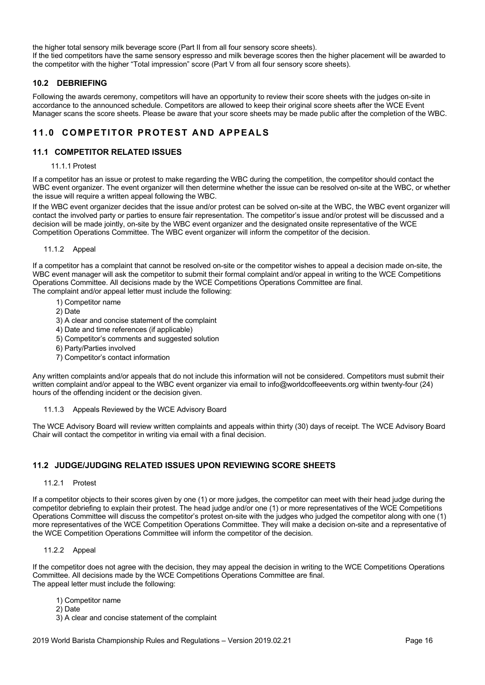the higher total sensory milk beverage score (Part II from all four sensory score sheets). If the tied competitors have the same sensory espresso and milk beverage scores then the higher placement will be awarded to the competitor with the higher "Total impression" score (Part V from all four sensory score sheets).

### **10.2 DEBRIEFING**

Following the awards ceremony, competitors will have an opportunity to review their score sheets with the judges on-site in accordance to the announced schedule. Competitors are allowed to keep their original score sheets after the WCE Event Manager scans the score sheets. Please be aware that your score sheets may be made public after the completion of the WBC.

# **11.0 COMPETITOR PROTEST AND APPEALS**

### **11.1 COMPETITOR RELATED ISSUES**

### 11.1.1 Protest

If a competitor has an issue or protest to make regarding the WBC during the competition, the competitor should contact the WBC event organizer. The event organizer will then determine whether the issue can be resolved on-site at the WBC, or whether the issue will require a written appeal following the WBC.

If the WBC event organizer decides that the issue and/or protest can be solved on-site at the WBC, the WBC event organizer will contact the involved party or parties to ensure fair representation. The competitor's issue and/or protest will be discussed and a decision will be made jointly, on-site by the WBC event organizer and the designated onsite representative of the WCE Competition Operations Committee. The WBC event organizer will inform the competitor of the decision.

### 11.1.2 Appeal

If a competitor has a complaint that cannot be resolved on-site or the competitor wishes to appeal a decision made on-site, the WBC event manager will ask the competitor to submit their formal complaint and/or appeal in writing to the WCE Competitions Operations Committee. All decisions made by the WCE Competitions Operations Committee are final. The complaint and/or appeal letter must include the following:

- 1) Competitor name
- 2) Date
- 3) A clear and concise statement of the complaint
- 4) Date and time references (if applicable)
- 5) Competitor's comments and suggested solution
- 6) Party/Parties involved
- 7) Competitor's contact information

Any written complaints and/or appeals that do not include this information will not be considered. Competitors must submit their written complaint and/or appeal to the WBC event organizer via email to info@worldcoffeeevents.org within twenty-four (24) hours of the offending incident or the decision given.

### 11.1.3 Appeals Reviewed by the WCE Advisory Board

The WCE Advisory Board will review written complaints and appeals within thirty (30) days of receipt. The WCE Advisory Board Chair will contact the competitor in writing via email with a final decision.

### **11.2 JUDGE/JUDGING RELATED ISSUES UPON REVIEWING SCORE SHEETS**

### 11.2.1 Protest

If a competitor objects to their scores given by one (1) or more judges, the competitor can meet with their head judge during the competitor debriefing to explain their protest. The head judge and/or one (1) or more representatives of the WCE Competitions Operations Committee will discuss the competitor's protest on-site with the judges who judged the competitor along with one (1) more representatives of the WCE Competition Operations Committee. They will make a decision on-site and a representative of the WCE Competition Operations Committee will inform the competitor of the decision.

### 11.2.2 Appeal

If the competitor does not agree with the decision, they may appeal the decision in writing to the WCE Competitions Operations Committee. All decisions made by the WCE Competitions Operations Committee are final. The appeal letter must include the following:

- 1) Competitor name
- 2) Date
- 3) A clear and concise statement of the complaint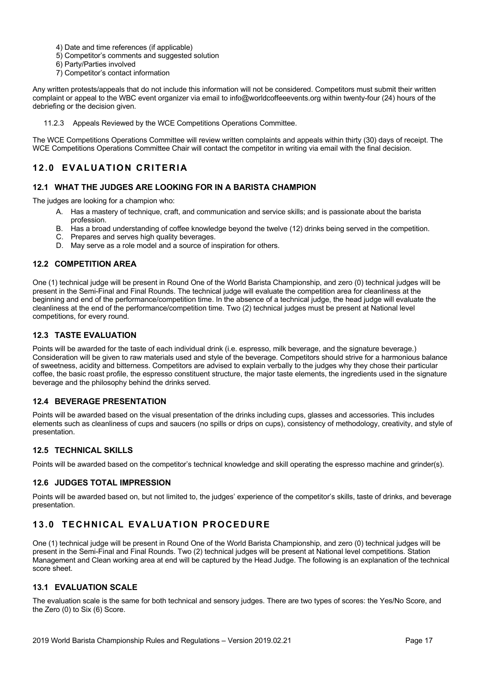4) Date and time references (if applicable)

- 5) Competitor's comments and suggested solution
- 6) Party/Parties involved
- 7) Competitor's contact information

Any written protests/appeals that do not include this information will not be considered. Competitors must submit their written complaint or appeal to the WBC event organizer via email to info@worldcoffeeevents.org within twenty-four (24) hours of the debriefing or the decision given.

11.2.3 Appeals Reviewed by the WCE Competitions Operations Committee.

The WCE Competitions Operations Committee will review written complaints and appeals within thirty (30) days of receipt. The WCE Competitions Operations Committee Chair will contact the competitor in writing via email with the final decision.

# **12.0 EVALUATION CRITERIA**

### **12.1 WHAT THE JUDGES ARE LOOKING FOR IN A BARISTA CHAMPION**

The judges are looking for a champion who:

- A. Has a mastery of technique, craft, and communication and service skills; and is passionate about the barista profession.
- B. Has a broad understanding of coffee knowledge beyond the twelve (12) drinks being served in the competition.
- C. Prepares and serves high quality beverages.
- D. May serve as a role model and a source of inspiration for others.

# **12.2 COMPETITION AREA**

One (1) technical judge will be present in Round One of the World Barista Championship, and zero (0) technical judges will be present in the Semi-Final and Final Rounds. The technical judge will evaluate the competition area for cleanliness at the beginning and end of the performance/competition time. In the absence of a technical judge, the head judge will evaluate the cleanliness at the end of the performance/competition time. Two (2) technical judges must be present at National level competitions, for every round.

# **12.3 TASTE EVALUATION**

Points will be awarded for the taste of each individual drink (i.e. espresso, milk beverage, and the signature beverage.) Consideration will be given to raw materials used and style of the beverage. Competitors should strive for a harmonious balance of sweetness, acidity and bitterness. Competitors are advised to explain verbally to the judges why they chose their particular coffee, the basic roast profile, the espresso constituent structure, the major taste elements, the ingredients used in the signature beverage and the philosophy behind the drinks served.

### **12.4 BEVERAGE PRESENTATION**

Points will be awarded based on the visual presentation of the drinks including cups, glasses and accessories. This includes elements such as cleanliness of cups and saucers (no spills or drips on cups), consistency of methodology, creativity, and style of presentation.

# **12.5 TECHNICAL SKILLS**

Points will be awarded based on the competitor's technical knowledge and skill operating the espresso machine and grinder(s).

### **12.6 JUDGES TOTAL IMPRESSION**

Points will be awarded based on, but not limited to, the judges' experience of the competitor's skills, taste of drinks, and beverage presentation.

# **13.0 TECHNICAL EVALUATION PROCEDURE**

One (1) technical judge will be present in Round One of the World Barista Championship, and zero (0) technical judges will be present in the Semi-Final and Final Rounds. Two (2) technical judges will be present at National level competitions. Station Management and Clean working area at end will be captured by the Head Judge. The following is an explanation of the technical score sheet.

### **13.1 EVALUATION SCALE**

The evaluation scale is the same for both technical and sensory judges. There are two types of scores: the Yes/No Score, and the Zero (0) to Six (6) Score.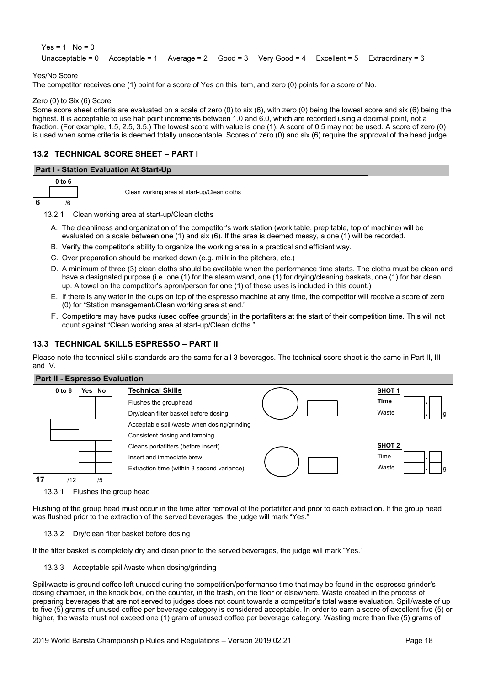$Yes = 1$  No = 0 Unacceptable = 0 Acceptable = 1 Average = 2  $Good = 3$  Very Good = 4 Excellent = 5 Extraordinary = 6

### Yes/No Score

The competitor receives one (1) point for a score of Yes on this item, and zero (0) points for a score of No.

### Zero (0) to Six (6) Score

Some score sheet criteria are evaluated on a scale of zero (0) to six (6), with zero (0) being the lowest score and six (6) being the highest. It is acceptable to use half point increments between 1.0 and 6.0, which are recorded using a decimal point, not a fraction. (For example, 1.5, 2.5, 3.5.) The lowest score with value is one (1). A score of 0.5 may not be used. A score of zero (0) is used when some criteria is deemed totally unacceptable. Scores of zero (0) and six (6) require the approval of the head judge.

# **13.2 TECHNICAL SCORE SHEET – PART I**

### **Part I - Station Evaluation At Start-Up**

|   | 0 to 6     |
|---|------------|
|   |            |
| 6 | $\sqrt{6}$ |

Clean working area at start-up/Clean cloths

- 13.2.1 Clean working area at start-up/Clean cloths
	- A. The cleanliness and organization of the competitor's work station (work table, prep table, top of machine) will be evaluated on a scale between one (1) and six (6). If the area is deemed messy, a one (1) will be recorded.
	- B. Verify the competitor's ability to organize the working area in a practical and efficient way.
	- C. Over preparation should be marked down (e.g. milk in the pitchers, etc.)
	- D. A minimum of three (3) clean cloths should be available when the performance time starts. The cloths must be clean and have a designated purpose (i.e. one (1) for the steam wand, one (1) for drying/cleaning baskets, one (1) for bar clean up. A towel on the competitor's apron/person for one (1) of these uses is included in this count.)
	- E. If there is any water in the cups on top of the espresso machine at any time, the competitor will receive a score of zero (0) for "Station management/Clean working area at end."
	- F. Competitors may have pucks (used coffee grounds) in the portafilters at the start of their competition time. This will not count against "Clean working area at start-up/Clean cloths."

# **13.3 TECHNICAL SKILLS ESPRESSO – PART II**

Please note the technical skills standards are the same for all 3 beverages. The technical score sheet is the same in Part II, III and IV.



13.3.1 Flushes the group head

Flushing of the group head must occur in the time after removal of the portafilter and prior to each extraction. If the group head was flushed prior to the extraction of the served beverages, the judge will mark "Yes."

### 13.3.2 Dry/clean filter basket before dosing

If the filter basket is completely dry and clean prior to the served beverages, the judge will mark "Yes."

13.3.3 Acceptable spill/waste when dosing/grinding

Spill/waste is ground coffee left unused during the competition/performance time that may be found in the espresso grinder's dosing chamber, in the knock box, on the counter, in the trash, on the floor or elsewhere. Waste created in the process of preparing beverages that are not served to judges does not count towards a competitor's total waste evaluation. Spill/waste of up to five (5) grams of unused coffee per beverage category is considered acceptable. In order to earn a score of excellent five (5) or higher, the waste must not exceed one (1) gram of unused coffee per beverage category. Wasting more than five (5) grams of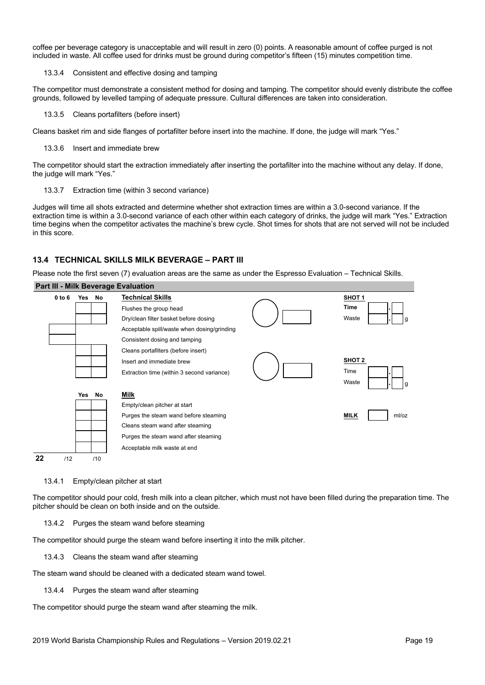coffee per beverage category is unacceptable and will result in zero (0) points. A reasonable amount of coffee purged is not included in waste. All coffee used for drinks must be ground during competitor's fifteen (15) minutes competition time.

13.3.4 Consistent and effective dosing and tamping

The competitor must demonstrate a consistent method for dosing and tamping. The competitor should evenly distribute the coffee grounds, followed by levelled tamping of adequate pressure. Cultural differences are taken into consideration.

13.3.5 Cleans portafilters (before insert)

Cleans basket rim and side flanges of portafilter before insert into the machine. If done, the judge will mark "Yes."

13.3.6 Insert and immediate brew

The competitor should start the extraction immediately after inserting the portafilter into the machine without any delay. If done, the judge will mark "Yes."

13.3.7 Extraction time (within 3 second variance)

Judges will time all shots extracted and determine whether shot extraction times are within a 3.0-second variance. If the extraction time is within a 3.0-second variance of each other within each category of drinks, the judge will mark "Yes." Extraction time begins when the competitor activates the machine's brew cycle. Shot times for shots that are not served will not be included in this score.

# **13.4 TECHNICAL SKILLS MILK BEVERAGE – PART III**

Please note the first seven (7) evaluation areas are the same as under the Espresso Evaluation – Technical Skills.

#### **Part III - Milk Beverage Evaluation**



### 13.4.1 Empty/clean pitcher at start

The competitor should pour cold, fresh milk into a clean pitcher, which must not have been filled during the preparation time. The pitcher should be clean on both inside and on the outside.

### 13.4.2 Purges the steam wand before steaming

The competitor should purge the steam wand before inserting it into the milk pitcher.

13.4.3 Cleans the steam wand after steaming

The steam wand should be cleaned with a dedicated steam wand towel.

13.4.4 Purges the steam wand after steaming

The competitor should purge the steam wand after steaming the milk.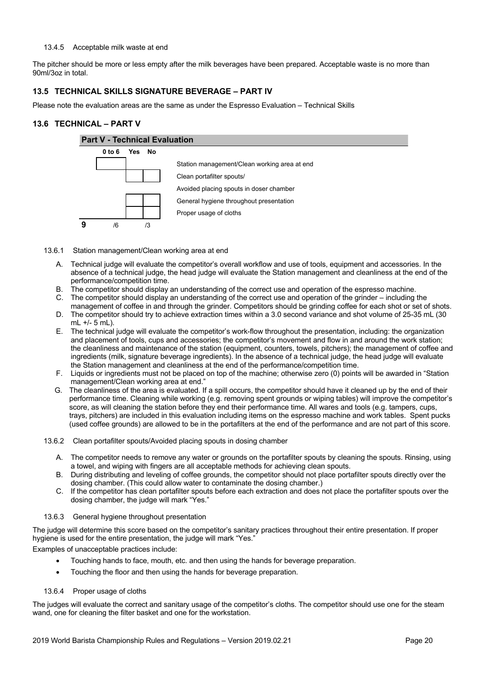### 13.4.5 Acceptable milk waste at end

The pitcher should be more or less empty after the milk beverages have been prepared. Acceptable waste is no more than 90ml/3oz in total.

### **13.5 TECHNICAL SKILLS SIGNATURE BEVERAGE – PART IV**

Please note the evaluation areas are the same as under the Espresso Evaluation – Technical Skills

### **13.6 TECHNICAL – PART V**



- 13.6.1 Station management/Clean working area at end
	- A. Technical judge will evaluate the competitor's overall workflow and use of tools, equipment and accessories. In the absence of a technical judge, the head judge will evaluate the Station management and cleanliness at the end of the performance/competition time.
	- B. The competitor should display an understanding of the correct use and operation of the espresso machine.
	- C. The competitor should display an understanding of the correct use and operation of the grinder including the management of coffee in and through the grinder. Competitors should be grinding coffee for each shot or set of shots.
	- D. The competitor should try to achieve extraction times within a 3.0 second variance and shot volume of 25-35 mL (30 mL +/- 5 mL).
	- E. The technical judge will evaluate the competitor's work-flow throughout the presentation, including: the organization and placement of tools, cups and accessories; the competitor's movement and flow in and around the work station; the cleanliness and maintenance of the station (equipment, counters, towels, pitchers); the management of coffee and ingredients (milk, signature beverage ingredients). In the absence of a technical judge, the head judge will evaluate the Station management and cleanliness at the end of the performance/competition time.
	- F. Liquids or ingredients must not be placed on top of the machine; otherwise zero (0) points will be awarded in "Station management/Clean working area at end."
	- G. The cleanliness of the area is evaluated. If a spill occurs, the competitor should have it cleaned up by the end of their performance time. Cleaning while working (e.g. removing spent grounds or wiping tables) will improve the competitor's score, as will cleaning the station before they end their performance time. All wares and tools (e.g. tampers, cups, trays, pitchers) are included in this evaluation including items on the espresso machine and work tables. Spent pucks (used coffee grounds) are allowed to be in the portafilters at the end of the performance and are not part of this score.
- 13.6.2 Clean portafilter spouts/Avoided placing spouts in dosing chamber
	- A. The competitor needs to remove any water or grounds on the portafilter spouts by cleaning the spouts. Rinsing, using a towel, and wiping with fingers are all acceptable methods for achieving clean spouts.
	- B. During distributing and leveling of coffee grounds, the competitor should not place portafilter spouts directly over the dosing chamber. (This could allow water to contaminate the dosing chamber.)
	- C. If the competitor has clean portafilter spouts before each extraction and does not place the portafilter spouts over the dosing chamber, the judge will mark "Yes."

### 13.6.3 General hygiene throughout presentation

The judge will determine this score based on the competitor's sanitary practices throughout their entire presentation. If proper hygiene is used for the entire presentation, the judge will mark "Yes."

Examples of unacceptable practices include:

- Touching hands to face, mouth, etc. and then using the hands for beverage preparation.
- Touching the floor and then using the hands for beverage preparation.

### 13.6.4 Proper usage of cloths

The judges will evaluate the correct and sanitary usage of the competitor's cloths. The competitor should use one for the steam wand, one for cleaning the filter basket and one for the workstation.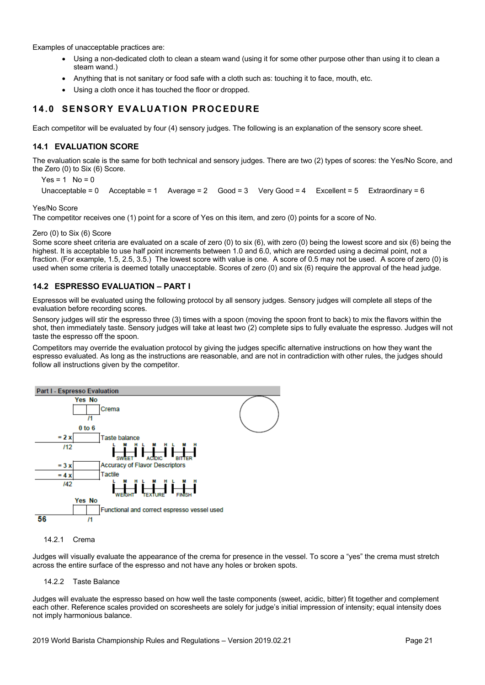Examples of unacceptable practices are:

- Using a non-dedicated cloth to clean a steam wand (using it for some other purpose other than using it to clean a steam wand.)
- Anything that is not sanitary or food safe with a cloth such as: touching it to face, mouth, etc.
- Using a cloth once it has touched the floor or dropped.

# **14.0 SENSORY EVALUATION PROCEDURE**

Each competitor will be evaluated by four (4) sensory judges. The following is an explanation of the sensory score sheet.

### **14.1 EVALUATION SCORE**

The evaluation scale is the same for both technical and sensory judges. There are two (2) types of scores: the Yes/No Score, and the Zero (0) to Six (6) Score.

 $Yes = 1$  No = 0 Unacceptable = 0 Acceptable = 1 Average = 2  $Good = 3$  Very Good = 4 Excellent = 5 Extraordinary = 6

Yes/No Score

The competitor receives one (1) point for a score of Yes on this item, and zero (0) points for a score of No.

### Zero (0) to Six (6) Score

Some score sheet criteria are evaluated on a scale of zero (0) to six (6), with zero (0) being the lowest score and six (6) being the highest. It is acceptable to use half point increments between 1.0 and 6.0, which are recorded using a decimal point, not a fraction. (For example, 1.5, 2.5, 3.5.) The lowest score with value is one. A score of 0.5 may not be used. A score of zero (0) is used when some criteria is deemed totally unacceptable. Scores of zero (0) and six (6) require the approval of the head judge.

### **14.2 ESPRESSO EVALUATION – PART I**

Espressos will be evaluated using the following protocol by all sensory judges. Sensory judges will complete all steps of the evaluation before recording scores.

Sensory judges will stir the espresso three (3) times with a spoon (moving the spoon front to back) to mix the flavors within the shot, then immediately taste. Sensory judges will take at least two (2) complete sips to fully evaluate the espresso. Judges will not taste the espresso off the spoon.

Competitors may override the evaluation protocol by giving the judges specific alternative instructions on how they want the espresso evaluated. As long as the instructions are reasonable, and are not in contradiction with other rules, the judges should follow all instructions given by the competitor.



### 14.2.1 Crema

Judges will visually evaluate the appearance of the crema for presence in the vessel. To score a "yes" the crema must stretch across the entire surface of the espresso and not have any holes or broken spots.

14.2.2 Taste Balance

Judges will evaluate the espresso based on how well the taste components (sweet, acidic, bitter) fit together and complement each other. Reference scales provided on scoresheets are solely for judge's initial impression of intensity; equal intensity does not imply harmonious balance.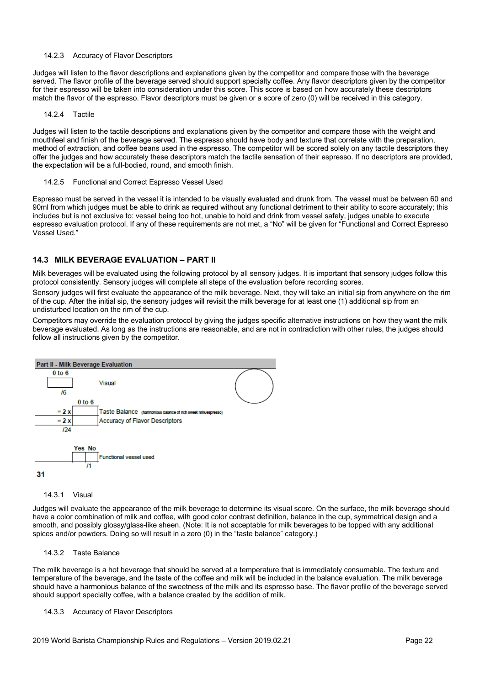### 14.2.3 Accuracy of Flavor Descriptors

Judges will listen to the flavor descriptions and explanations given by the competitor and compare those with the beverage served. The flavor profile of the beverage served should support specialty coffee. Any flavor descriptors given by the competitor for their espresso will be taken into consideration under this score. This score is based on how accurately these descriptors match the flavor of the espresso. Flavor descriptors must be given or a score of zero (0) will be received in this category.

### 14.2.4 Tactile

Judges will listen to the tactile descriptions and explanations given by the competitor and compare those with the weight and mouthfeel and finish of the beverage served. The espresso should have body and texture that correlate with the preparation, method of extraction, and coffee beans used in the espresso. The competitor will be scored solely on any tactile descriptors they offer the judges and how accurately these descriptors match the tactile sensation of their espresso. If no descriptors are provided, the expectation will be a full-bodied, round, and smooth finish.

14.2.5 Functional and Correct Espresso Vessel Used

Espresso must be served in the vessel it is intended to be visually evaluated and drunk from. The vessel must be between 60 and 90ml from which judges must be able to drink as required without any functional detriment to their ability to score accurately; this includes but is not exclusive to: vessel being too hot, unable to hold and drink from vessel safely, judges unable to execute espresso evaluation protocol. If any of these requirements are not met, a "No" will be given for "Functional and Correct Espresso Vessel Used."

# **14.3 MILK BEVERAGE EVALUATION – PART II**

Milk beverages will be evaluated using the following protocol by all sensory judges. It is important that sensory judges follow this protocol consistently. Sensory judges will complete all steps of the evaluation before recording scores.

Sensory judges will first evaluate the appearance of the milk beverage. Next, they will take an initial sip from anywhere on the rim of the cup. After the initial sip, the sensory judges will revisit the milk beverage for at least one (1) additional sip from an undisturbed location on the rim of the cup.

Competitors may override the evaluation protocol by giving the judges specific alternative instructions on how they want the milk beverage evaluated. As long as the instructions are reasonable, and are not in contradiction with other rules, the judges should follow all instructions given by the competitor.



#### 14.3.1 Visual

Judges will evaluate the appearance of the milk beverage to determine its visual score. On the surface, the milk beverage should have a color combination of milk and coffee, with good color contrast definition, balance in the cup, symmetrical design and a smooth, and possibly glossy/glass-like sheen. (Note: It is not acceptable for milk beverages to be topped with any additional spices and/or powders. Doing so will result in a zero (0) in the "taste balance" category.)

### 14.3.2 Taste Balance

The milk beverage is a hot beverage that should be served at a temperature that is immediately consumable. The texture and temperature of the beverage, and the taste of the coffee and milk will be included in the balance evaluation. The milk beverage should have a harmonious balance of the sweetness of the milk and its espresso base. The flavor profile of the beverage served should support specialty coffee, with a balance created by the addition of milk.

### 14.3.3 Accuracy of Flavor Descriptors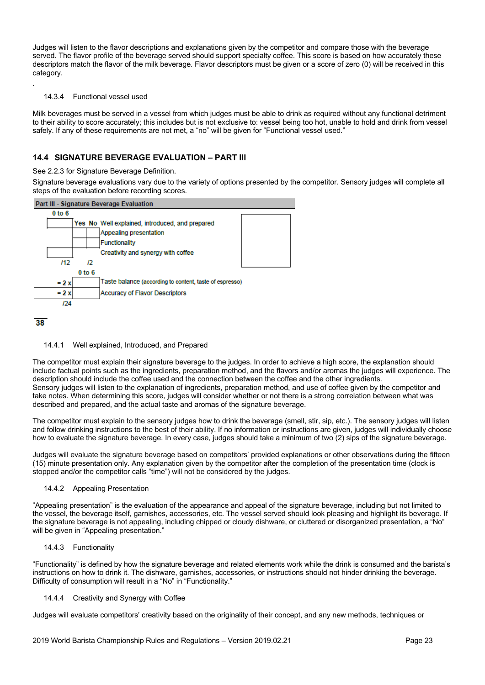Judges will listen to the flavor descriptions and explanations given by the competitor and compare those with the beverage served. The flavor profile of the beverage served should support specialty coffee. This score is based on how accurately these descriptors match the flavor of the milk beverage. Flavor descriptors must be given or a score of zero (0) will be received in this category.

#### 14.3.4 Functional vessel used

Milk beverages must be served in a vessel from which judges must be able to drink as required without any functional detriment to their ability to score accurately; this includes but is not exclusive to: vessel being too hot, unable to hold and drink from vessel safely. If any of these requirements are not met, a "no" will be given for "Functional vessel used."

### **14.4 SIGNATURE BEVERAGE EVALUATION – PART III**

#### See 2.2.3 for Signature Beverage Definition.

Signature beverage evaluations vary due to the variety of options presented by the competitor. Sensory judges will complete all steps of the evaluation before recording scores.



### $38$

.

### 14.4.1 Well explained, Introduced, and Prepared

The competitor must explain their signature beverage to the judges. In order to achieve a high score, the explanation should include factual points such as the ingredients, preparation method, and the flavors and/or aromas the judges will experience. The description should include the coffee used and the connection between the coffee and the other ingredients. Sensory judges will listen to the explanation of ingredients, preparation method, and use of coffee given by the competitor and take notes. When determining this score, judges will consider whether or not there is a strong correlation between what was described and prepared, and the actual taste and aromas of the signature beverage.

The competitor must explain to the sensory judges how to drink the beverage (smell, stir, sip, etc.). The sensory judges will listen and follow drinking instructions to the best of their ability. If no information or instructions are given, judges will individually choose how to evaluate the signature beverage. In every case, judges should take a minimum of two (2) sips of the signature beverage.

Judges will evaluate the signature beverage based on competitors' provided explanations or other observations during the fifteen (15) minute presentation only. Any explanation given by the competitor after the completion of the presentation time (clock is stopped and/or the competitor calls "time") will not be considered by the judges.

### 14.4.2 Appealing Presentation

"Appealing presentation" is the evaluation of the appearance and appeal of the signature beverage, including but not limited to the vessel, the beverage itself, garnishes, accessories, etc. The vessel served should look pleasing and highlight its beverage. If the signature beverage is not appealing, including chipped or cloudy dishware, or cluttered or disorganized presentation, a "No" will be given in "Appealing presentation."

### 14.4.3 Functionality

"Functionality" is defined by how the signature beverage and related elements work while the drink is consumed and the barista's instructions on how to drink it. The dishware, garnishes, accessories, or instructions should not hinder drinking the beverage. Difficulty of consumption will result in a "No" in "Functionality."

### 14.4.4 Creativity and Synergy with Coffee

Judges will evaluate competitors' creativity based on the originality of their concept, and any new methods, techniques or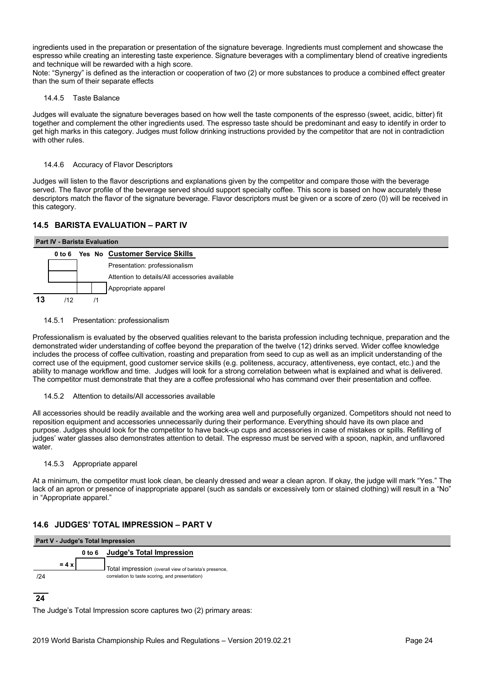ingredients used in the preparation or presentation of the signature beverage. Ingredients must complement and showcase the espresso while creating an interesting taste experience. Signature beverages with a complimentary blend of creative ingredients and technique will be rewarded with a high score.

Note: "Synergy" is defined as the interaction or cooperation of two (2) or more substances to produce a combined effect greater than the sum of their separate effects

### 14.4.5 Taste Balance

Judges will evaluate the signature beverages based on how well the taste components of the espresso (sweet, acidic, bitter) fit together and complement the other ingredients used. The espresso taste should be predominant and easy to identify in order to get high marks in this category. Judges must follow drinking instructions provided by the competitor that are not in contradiction with other rules.

### 14.4.6 Accuracy of Flavor Descriptors

Judges will listen to the flavor descriptions and explanations given by the competitor and compare those with the beverage served. The flavor profile of the beverage served should support specialty coffee. This score is based on how accurately these descriptors match the flavor of the signature beverage. Flavor descriptors must be given or a score of zero (0) will be received in this category.

# **14.5 BARISTA EVALUATION – PART IV**

| <b>Part IV - Barista Evaluation</b> |     |  |  |                                                |  |  |  |  |
|-------------------------------------|-----|--|--|------------------------------------------------|--|--|--|--|
|                                     |     |  |  | 0 to 6 Yes No Customer Service Skills          |  |  |  |  |
|                                     |     |  |  | Presentation: professionalism                  |  |  |  |  |
|                                     |     |  |  | Attention to details/All accessories available |  |  |  |  |
|                                     |     |  |  | Appropriate apparel                            |  |  |  |  |
| 13                                  | 112 |  |  |                                                |  |  |  |  |

14.5.1 Presentation: professionalism

Professionalism is evaluated by the observed qualities relevant to the barista profession including technique, preparation and the demonstrated wider understanding of coffee beyond the preparation of the twelve (12) drinks served. Wider coffee knowledge includes the process of coffee cultivation, roasting and preparation from seed to cup as well as an implicit understanding of the correct use of the equipment, good customer service skills (e.g. politeness, accuracy, attentiveness, eye contact, etc.) and the ability to manage workflow and time. Judges will look for a strong correlation between what is explained and what is delivered. The competitor must demonstrate that they are a coffee professional who has command over their presentation and coffee.

14.5.2 Attention to details/All accessories available

All accessories should be readily available and the working area well and purposefully organized. Competitors should not need to reposition equipment and accessories unnecessarily during their performance. Everything should have its own place and purpose. Judges should look for the competitor to have back-up cups and accessories in case of mistakes or spills. Refilling of judges' water glasses also demonstrates attention to detail. The espresso must be served with a spoon, napkin, and unflavored water.

### 14.5.3 Appropriate apparel

At a minimum, the competitor must look clean, be cleanly dressed and wear a clean apron. If okay, the judge will mark "Yes." The lack of an apron or presence of inappropriate apparel (such as sandals or excessively torn or stained clothing) will result in a "No" in "Appropriate apparel."

# **14.6 JUDGES' TOTAL IMPRESSION – PART V**

| Part V - Judge's Total Impression |                   |                                                       |  |  |  |  |
|-----------------------------------|-------------------|-------------------------------------------------------|--|--|--|--|
|                                   | 0 <sub>to</sub> 6 | <b>Judge's Total Impression</b>                       |  |  |  |  |
| $= 4x$                            |                   | Total impression (overall view of barista's presence, |  |  |  |  |
| 124                               |                   | correlation to taste scoring, and presentation)       |  |  |  |  |

# $\overline{24}$

The Judge's Total Impression score captures two (2) primary areas: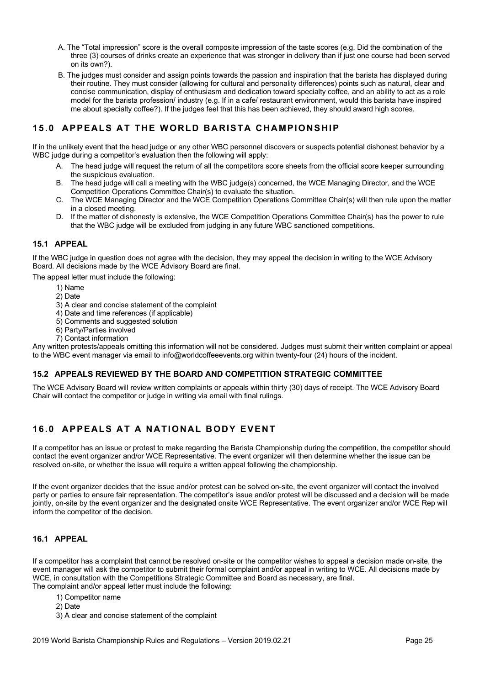- A. The "Total impression" score is the overall composite impression of the taste scores (e.g. Did the combination of the three (3) courses of drinks create an experience that was stronger in delivery than if just one course had been served on its own?).
- B. The judges must consider and assign points towards the passion and inspiration that the barista has displayed during their routine. They must consider (allowing for cultural and personality differences) points such as natural, clear and concise communication, display of enthusiasm and dedication toward specialty coffee, and an ability to act as a role model for the barista profession/ industry (e.g. If in a cafe/ restaurant environment, would this barista have inspired me about specialty coffee?). If the judges feel that this has been achieved, they should award high scores.

# **15.0 APPEALS AT THE WORLD BARISTA CHAMPIONSHIP**

If in the unlikely event that the head judge or any other WBC personnel discovers or suspects potential dishonest behavior by a WBC judge during a competitor's evaluation then the following will apply:

- A. The head judge will request the return of all the competitors score sheets from the official score keeper surrounding the suspicious evaluation.
- B. The head judge will call a meeting with the WBC judge(s) concerned, the WCE Managing Director, and the WCE Competition Operations Committee Chair(s) to evaluate the situation.
- C. The WCE Managing Director and the WCE Competition Operations Committee Chair(s) will then rule upon the matter in a closed meeting.
- D. If the matter of dishonesty is extensive, the WCE Competition Operations Committee Chair(s) has the power to rule that the WBC judge will be excluded from judging in any future WBC sanctioned competitions.

# **15.1 APPEAL**

If the WBC judge in question does not agree with the decision, they may appeal the decision in writing to the WCE Advisory Board. All decisions made by the WCE Advisory Board are final.

The appeal letter must include the following:

- 1) Name
- 2) Date
- 3) A clear and concise statement of the complaint
- 4) Date and time references (if applicable)
- 5) Comments and suggested solution
- 6) Party/Parties involved
- 7) Contact information

Any written protests/appeals omitting this information will not be considered. Judges must submit their written complaint or appeal to the WBC event manager via email to info@worldcoffeeevents.org within twenty-four (24) hours of the incident.

# **15.2 APPEALS REVIEWED BY THE BOARD AND COMPETITION STRATEGIC COMMITTEE**

The WCE Advisory Board will review written complaints or appeals within thirty (30) days of receipt. The WCE Advisory Board Chair will contact the competitor or judge in writing via email with final rulings.

# **16.0 APPEALS AT A NATIONAL BODY EVENT**

If a competitor has an issue or protest to make regarding the Barista Championship during the competition, the competitor should contact the event organizer and/or WCE Representative. The event organizer will then determine whether the issue can be resolved on-site, or whether the issue will require a written appeal following the championship.

If the event organizer decides that the issue and/or protest can be solved on-site, the event organizer will contact the involved party or parties to ensure fair representation. The competitor's issue and/or protest will be discussed and a decision will be made jointly, on-site by the event organizer and the designated onsite WCE Representative. The event organizer and/or WCE Rep will inform the competitor of the decision.

# **16.1 APPEAL**

If a competitor has a complaint that cannot be resolved on-site or the competitor wishes to appeal a decision made on-site, the event manager will ask the competitor to submit their formal complaint and/or appeal in writing to WCE. All decisions made by WCE, in consultation with the Competitions Strategic Committee and Board as necessary, are final. The complaint and/or appeal letter must include the following:

- 1) Competitor name
	- 2) Date
	- 3) A clear and concise statement of the complaint